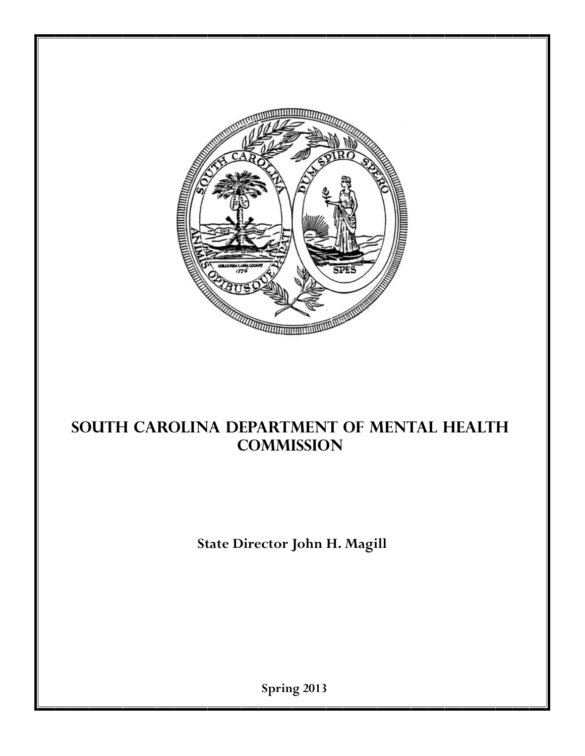

# **SOUTH CAROLINA DEPARTMENT of Mental Health Commission**

**State Director John H. Magill**

**Spring 2013**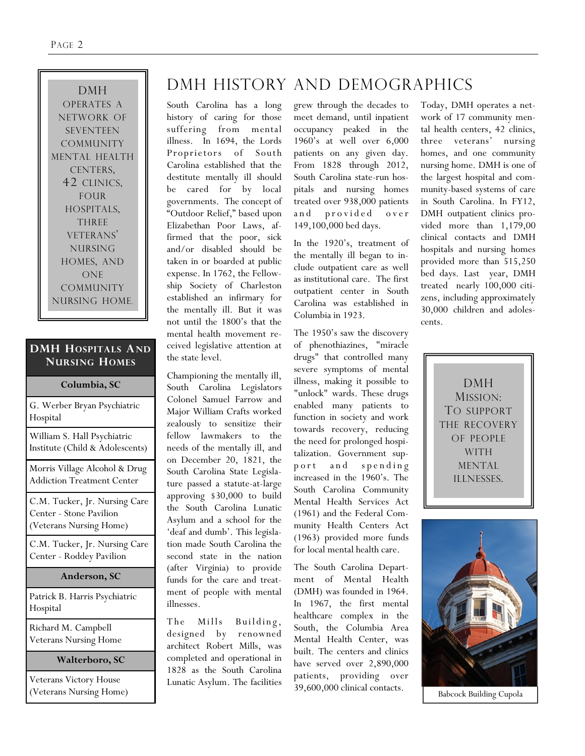DMH OPERATES A NETWORK OF SEVENTEEN COMMUNITY MENTAL HEALTH CENTERS, 42 CLINICS, FOUR HOSPITALS, THREE VETERANS' NURSING HOMES, AND ONE COMMUNITY NURSING HOME.

#### **DMH HOSPITALS AND NURSING HOMES**

| Columbia, SC                                                                        |
|-------------------------------------------------------------------------------------|
| G. Werber Bryan Psychiatric<br>Hospital                                             |
| William S. Hall Psychiatric<br>Institute (Child & Adolescents)                      |
| Morris Village Alcohol & Drug<br><b>Addiction Treatment Center</b>                  |
| C.M. Tucker, Jr. Nursing Care<br>Center - Stone Pavilion<br>(Veterans Nursing Home) |
| C.M. Tucker, Jr. Nursing Care<br>Center - Roddey Pavilion                           |
| Anderson, SC                                                                        |
| Patrick B. Harris Psychiatric<br>Hospital                                           |
| Richard M. Campbell<br><b>Veterans Nursing Home</b>                                 |

#### **Walterboro, SC**

Veterans Victory House (Veterans Nursing Home)

# DMH HISTORY AND DEMOGRAPHICS

South Carolina has a long history of caring for those suffering from mental illness. In 1694, the Lords Proprietors of South Carolina established that the destitute mentally ill should be cared for by local governments. The concept of "Outdoor Relief," based upon Elizabethan Poor Laws, affirmed that the poor, sick and/or disabled should be taken in or boarded at public expense. In 1762, the Fellowship Society of Charleston established an infirmary for the mentally ill. But it was not until the 1800"s that the mental health movement received legislative attention at the state level.

Championing the mentally ill, South Carolina Legislators Colonel Samuel Farrow and Major William Crafts worked zealously to sensitize their fellow lawmakers to the needs of the mentally ill, and on December 20, 1821, the South Carolina State Legislature passed a statute-at-large approving \$30,000 to build the South Carolina Lunatic Asylum and a school for the 'deaf and dumb'. This legislation made South Carolina the second state in the nation (after Virginia) to provide funds for the care and treatment of people with mental illnesses.

The Mills Building, designed by renowned architect Robert Mills, was completed and operational in 1828 as the South Carolina Lunatic Asylum. The facilities

grew through the decades to meet demand, until inpatient occupancy peaked in the 1960"s at well over 6,000 patients on any given day. From 1828 through 2012, South Carolina state-run hospitals and nursing homes treated over 938,000 patients and provided over 149,100,000 bed days.

In the 1920"s, treatment of the mentally ill began to include outpatient care as well as institutional care. The first outpatient center in South Carolina was established in Columbia in 1923.

The 1950's saw the discovery of phenothiazines, "miracle drugs" that controlled many severe symptoms of mental illness, making it possible to "unlock" wards. These drugs enabled many patients to function in society and work towards recovery, reducing the need for prolonged hospitalization. Government supp or t and spending increased in the 1960"s. The South Carolina Community Mental Health Services Act (1961) and the Federal Community Health Centers Act (1963) provided more funds for local mental health care.

The South Carolina Department of Mental Health (DMH) was founded in 1964. In 1967, the first mental healthcare complex in the South, the Columbia Area Mental Health Center, was built. The centers and clinics have served over 2,890,000 patients, providing over 39,600,000 clinical contacts.

Today, DMH operates a network of 17 community mental health centers, 42 clinics, three veterans' nursing homes, and one community nursing home. DMH is one of the largest hospital and community-based systems of care in South Carolina. In FY12, DMH outpatient clinics provided more than 1,179,00 clinical contacts and DMH hospitals and nursing homes provided more than 515,250 bed days. Last year, DMH treated nearly 100,000 citizens, including approximately 30,000 children and adolescents.

> DMH MISSION: TO SUPPORT THE RECOVERY OF PEOPLE WITH MENTAL ILLNESSES.



Babcock Building Cupola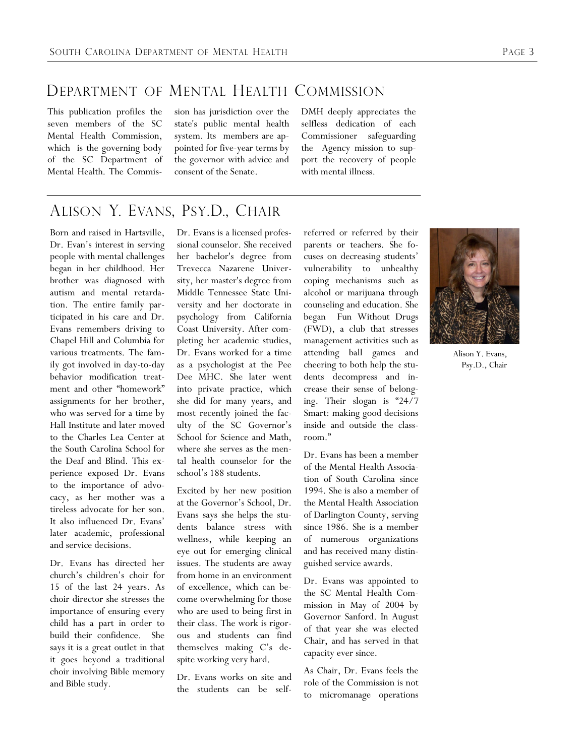### DEPARTMENT OF MENTAL HEALTH COMMISSION

This publication profiles the seven members of the SC Mental Health Commission, which is the governing body of the SC Department of Mental Health. The Commission has jurisdiction over the state's public mental health system. Its members are appointed for five-year terms by the governor with advice and consent of the Senate.

DMH deeply appreciates the selfless dedication of each Commissioner safeguarding the Agency mission to support the recovery of people with mental illness.

# ALISON Y. EVANS, PSY.D., CHAIR

Born and raised in Hartsville, Dr. Evan's interest in serving people with mental challenges began in her childhood. Her brother was diagnosed with autism and mental retardation. The entire family participated in his care and Dr. Evans remembers driving to Chapel Hill and Columbia for various treatments. The family got involved in day-to-day behavior modification treatment and other "homework" assignments for her brother, who was served for a time by Hall Institute and later moved to the Charles Lea Center at the South Carolina School for the Deaf and Blind. This experience exposed Dr. Evans to the importance of advocacy, as her mother was a tireless advocate for her son. It also influenced Dr. Evans' later academic, professional and service decisions.

Dr. Evans has directed her church"s children"s choir for 15 of the last 24 years. As choir director she stresses the importance of ensuring every child has a part in order to build their confidence. She says it is a great outlet in that it goes beyond a traditional choir involving Bible memory and Bible study.

Dr. Evans is a licensed professional counselor. She received her bachelor's degree from Trevecca Nazarene University, her master's degree from Middle Tennessee State University and her doctorate in psychology from California Coast University. After completing her academic studies, Dr. Evans worked for a time as a psychologist at the Pee Dee MHC. She later went into private practice, which she did for many years, and most recently joined the faculty of the SC Governor"s School for Science and Math, where she serves as the mental health counselor for the school"s 188 students.

Excited by her new position at the Governor"s School, Dr. Evans says she helps the students balance stress with wellness, while keeping an eye out for emerging clinical issues. The students are away from home in an environment of excellence, which can become overwhelming for those who are used to being first in their class. The work is rigorous and students can find themselves making C"s despite working very hard.

Dr. Evans works on site and the students can be self-

referred or referred by their parents or teachers. She focuses on decreasing students" vulnerability to unhealthy coping mechanisms such as alcohol or marijuana through counseling and education. She began Fun Without Drugs (FWD), a club that stresses management activities such as attending ball games and cheering to both help the students decompress and increase their sense of belonging. Their slogan is "24/7 Smart: making good decisions inside and outside the classroom."

Dr. Evans has been a member of the Mental Health Association of South Carolina since 1994. She is also a member of the Mental Health Association of Darlington County, serving since 1986. She is a member of numerous organizations and has received many distinguished service awards.

Dr. Evans was appointed to the SC Mental Health Commission in May of 2004 by Governor Sanford. In August of that year she was elected Chair, and has served in that capacity ever since.

As Chair, Dr. Evans feels the role of the Commission is not to micromanage operations



Alison Y. Evans, Psy.D., Chair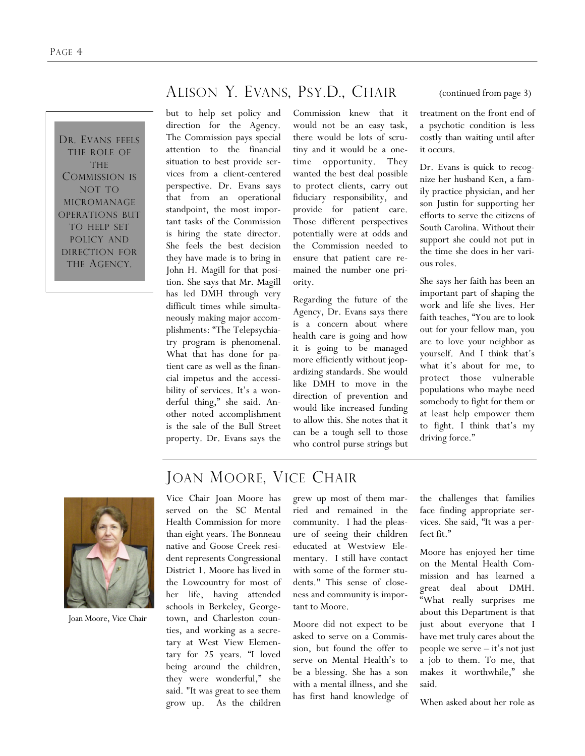DR. EVANS FEELS THE ROLE OF THE COMMISSION IS NOT TO MICROMANAGE OPERATIONS BUT TO HELP SET POLICY AND DIRECTION FOR THE AGENCY.

## ALISON Y. EVANS, PSY.D., CHAIR

but to help set policy and direction for the Agency. The Commission pays special attention to the financial situation to best provide services from a client-centered perspective. Dr. Evans says that from an operational standpoint, the most important tasks of the Commission is hiring the state director. She feels the best decision they have made is to bring in John H. Magill for that position. She says that Mr. Magill has led DMH through very difficult times while simultaneously making major accomplishments: "The Telepsychiatry program is phenomenal. What that has done for patient care as well as the financial impetus and the accessibility of services. It's a wonderful thing," she said. Another noted accomplishment is the sale of the Bull Street property. Dr. Evans says the

Commission knew that it would not be an easy task, there would be lots of scrutiny and it would be a onetime opportunity. They wanted the best deal possible to protect clients, carry out fiduciary responsibility, and provide for patient care. Those different perspectives potentially were at odds and the Commission needed to ensure that patient care remained the number one priority.

Regarding the future of the Agency, Dr. Evans says there is a concern about where health care is going and how it is going to be managed more efficiently without jeopardizing standards. She would like DMH to move in the direction of prevention and would like increased funding to allow this. She notes that it can be a tough sell to those who control purse strings but

(continued from page 3)

treatment on the front end of a psychotic condition is less costly than waiting until after it occurs.

Dr. Evans is quick to recognize her husband Ken, a family practice physician, and her son Justin for supporting her efforts to serve the citizens of South Carolina. Without their support she could not put in the time she does in her various roles.

She says her faith has been an important part of shaping the work and life she lives. Her faith teaches, "You are to look out for your fellow man, you are to love your neighbor as yourself. And I think that"s what it's about for me, to protect those vulnerable populations who maybe need somebody to fight for them or at least help empower them to fight. I think that"s my driving force."



Joan Moore, Vice Chair

## JOAN MOORE, VICE CHAIR

Vice Chair Joan Moore has served on the SC Mental Health Commission for more than eight years. The Bonneau native and Goose Creek resident represents Congressional District 1. Moore has lived in the Lowcountry for most of her life, having attended schools in Berkeley, Georgetown, and Charleston counties, and working as a secretary at West View Elementary for 25 years. "I loved being around the children, they were wonderful," she said. "It was great to see them grow up. As the children

grew up most of them married and remained in the community. I had the pleasure of seeing their children educated at Westview Elementary. I still have contact with some of the former students." This sense of closeness and community is important to Moore.

Moore did not expect to be asked to serve on a Commission, but found the offer to serve on Mental Health"s to be a blessing. She has a son with a mental illness, and she has first hand knowledge of

the challenges that families face finding appropriate services. She said, "It was a perfect fit."

Moore has enjoyed her time on the Mental Health Commission and has learned a great deal about DMH. "What really surprises me about this Department is that just about everyone that I have met truly cares about the people we serve  $-$  it's not just a job to them. To me, that makes it worthwhile," she said.

When asked about her role as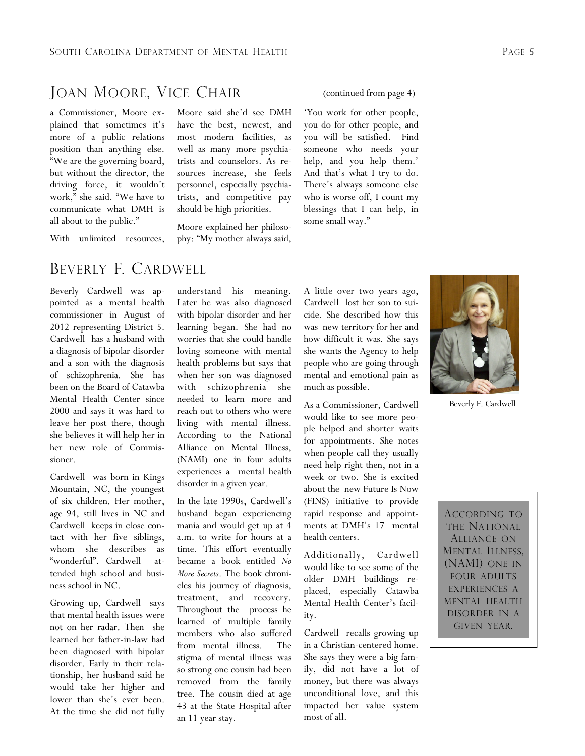#### JOAN MOORE, VICE CHAIR

a Commissioner, Moore explained that sometimes it's more of a public relations position than anything else. "We are the governing board, but without the director, the driving force, it wouldn"t work," she said. "We have to communicate what DMH is all about to the public."

With unlimited resources,

Moore said she"d see DMH have the best, newest, and most modern facilities, as well as many more psychiatrists and counselors. As resources increase, she feels personnel, especially psychiatrists, and competitive pay should be high priorities.

Moore explained her philosophy: "My mother always said,

#### BEVERLY F. CARDWELL

Beverly Cardwell was appointed as a mental health commissioner in August of 2012 representing District 5. Cardwell has a husband with a diagnosis of bipolar disorder and a son with the diagnosis of schizophrenia. She has been on the Board of Catawba Mental Health Center since 2000 and says it was hard to leave her post there, though she believes it will help her in her new role of Commissioner.

Cardwell was born in Kings Mountain, NC, the youngest of six children. Her mother, age 94, still lives in NC and Cardwell keeps in close contact with her five siblings, whom she describes as "wonderful". Cardwell attended high school and business school in NC.

Growing up, Cardwell says that mental health issues were not on her radar. Then she learned her father-in-law had been diagnosed with bipolar disorder. Early in their relationship, her husband said he would take her higher and lower than she's ever been. At the time she did not fully

understand his meaning. Later he was also diagnosed with bipolar disorder and her learning began. She had no worries that she could handle loving someone with mental health problems but says that when her son was diagnosed with schizophrenia she needed to learn more and reach out to others who were living with mental illness. According to the National Alliance on Mental Illness, (NAMI) one in four adults experiences a mental health disorder in a given year.

In the late 1990s, Cardwell"s husband began experiencing mania and would get up at 4 a.m. to write for hours at a time. This effort eventually became a book entitled *No More Secrets*. The book chronicles his journey of diagnosis, treatment, and recovery. Throughout the process he learned of multiple family members who also suffered from mental illness. The stigma of mental illness was so strong one cousin had been removed from the family tree. The cousin died at age 43 at the State Hospital after an 11 year stay.

A little over two years ago, Cardwell lost her son to suicide. She described how this was new territory for her and how difficult it was. She says she wants the Agency to help people who are going through mental and emotional pain as much as possible.

As a Commissioner, Cardwell would like to see more people helped and shorter waits for appointments. She notes when people call they usually need help right then, not in a week or two. She is excited about the new Future Is Now (FINS) initiative to provide rapid response and appointments at DMH"s 17 mental health centers.

Additionally, Cardwell would like to see some of the older DMH buildings replaced, especially Catawba Mental Health Center"s facility.

Cardwell recalls growing up in a Christian-centered home. She says they were a big family, did not have a lot of money, but there was always unconditional love, and this impacted her value system most of all.

(continued from page 4)

"You work for other people, you do for other people, and you will be satisfied. Find someone who needs your help, and you help them.' And that"s what I try to do. There"s always someone else who is worse off, I count my blessings that I can help, in some small way."



Beverly F. Cardwell

ACCORDING TO THE NATIONAL ALLIANCE ON MENTAL ILLNESS, (NAMI) ONE IN FOUR ADULTS EXPERIENCES A MENTAL HEALTH DISORDER IN A GIVEN YEAR.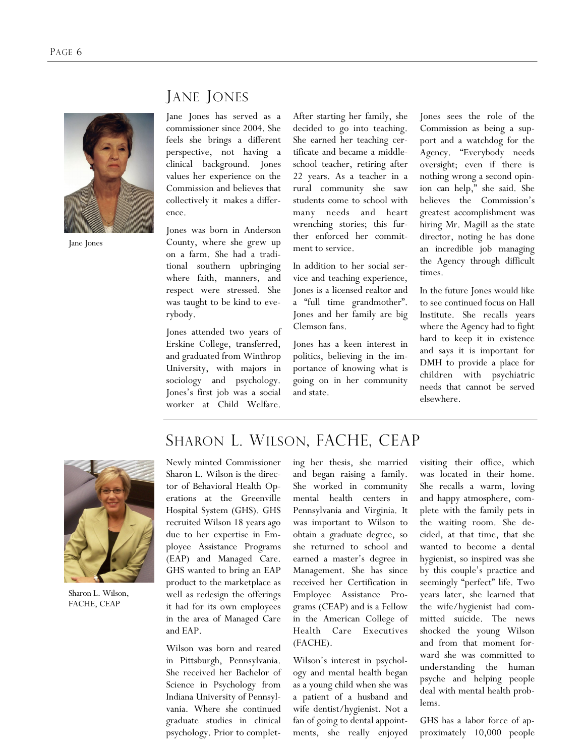

Jane Jones

## JANE JONES

Jane Jones has served as a commissioner since 2004. She feels she brings a different perspective, not having a clinical background. Jones values her experience on the Commission and believes that collectively it makes a difference.

Jones was born in Anderson County, where she grew up on a farm. She had a traditional southern upbringing where faith, manners, and respect were stressed. She was taught to be kind to everybody.

Jones attended two years of Erskine College, transferred, and graduated from Winthrop University, with majors in sociology and psychology. Jones"s first job was a social worker at Child Welfare.

After starting her family, she decided to go into teaching. She earned her teaching certificate and became a middleschool teacher, retiring after 22 years. As a teacher in a rural community she saw students come to school with many needs and heart wrenching stories; this further enforced her commitment to service.

In addition to her social service and teaching experience, Jones is a licensed realtor and a "full time grandmother". Jones and her family are big Clemson fans.

Jones has a keen interest in politics, believing in the importance of knowing what is going on in her community and state.

Jones sees the role of the Commission as being a support and a watchdog for the Agency. "Everybody needs oversight; even if there is nothing wrong a second opinion can help," she said. She believes the Commission's greatest accomplishment was hiring Mr. Magill as the state director, noting he has done an incredible job managing the Agency through difficult times.

In the future Jones would like to see continued focus on Hall Institute. She recalls years where the Agency had to fight hard to keep it in existence and says it is important for DMH to provide a place for children with psychiatric needs that cannot be served elsewhere.



Sharon L. Wilson, FACHE, CEAP

# SHARON L. WILSON, FACHE, CEAP

Newly minted Commissioner Sharon L. Wilson is the director of Behavioral Health Operations at the Greenville Hospital System (GHS). GHS recruited Wilson 18 years ago due to her expertise in Employee Assistance Programs (EAP) and Managed Care. GHS wanted to bring an EAP product to the marketplace as well as redesign the offerings it had for its own employees in the area of Managed Care and EAP.

Wilson was born and reared in Pittsburgh, Pennsylvania. She received her Bachelor of Science in Psychology from Indiana University of Pennsylvania. Where she continued graduate studies in clinical psychology. Prior to completing her thesis, she married and began raising a family. She worked in community mental health centers in Pennsylvania and Virginia. It was important to Wilson to obtain a graduate degree, so she returned to school and earned a master"s degree in Management. She has since received her Certification in Employee Assistance Programs (CEAP) and is a Fellow in the American College of Health Care Executives (FACHE).

Wilson"s interest in psychology and mental health began as a young child when she was a patient of a husband and wife dentist/hygienist. Not a fan of going to dental appointments, she really enjoyed

visiting their office, which was located in their home. She recalls a warm, loving and happy atmosphere, complete with the family pets in the waiting room. She decided, at that time, that she wanted to become a dental hygienist, so inspired was she by this couple"s practice and seemingly "perfect" life. Two years later, she learned that the wife/hygienist had committed suicide. The news shocked the young Wilson and from that moment forward she was committed to understanding the human psyche and helping people deal with mental health problems.

GHS has a labor force of approximately 10,000 people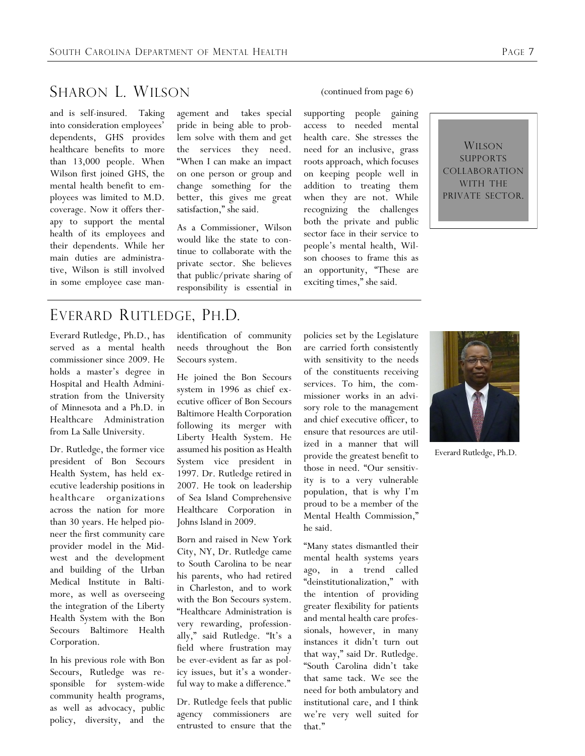## SHARON L. WILSON

and is self-insured. Taking into consideration employees' dependents, GHS provides healthcare benefits to more than 13,000 people. When Wilson first joined GHS, the mental health benefit to employees was limited to M.D. coverage. Now it offers therapy to support the mental health of its employees and their dependents. While her main duties are administrative, Wilson is still involved in some employee case man-

agement and takes special pride in being able to problem solve with them and get the services they need. "When I can make an impact on one person or group and change something for the better, this gives me great satisfaction," she said.

As a Commissioner, Wilson would like the state to continue to collaborate with the private sector. She believes that public/private sharing of responsibility is essential in

#### (continued from page 6)

supporting people gaining access to needed mental health care. She stresses the need for an inclusive, grass roots approach, which focuses on keeping people well in addition to treating them when they are not. While recognizing the challenges both the private and public sector face in their service to people"s mental health, Wilson chooses to frame this as an opportunity, "These are exciting times," she said.



### EVERARD RUTLEDGE, PH.D.

Everard Rutledge, Ph.D., has served as a mental health commissioner since 2009. He holds a master"s degree in Hospital and Health Administration from the University of Minnesota and a Ph.D. in Healthcare Administration from La Salle University.

Dr. Rutledge, the former vice president of Bon Secours Health System, has held executive leadership positions in healthcare organizations across the nation for more than 30 years. He helped pioneer the first community care provider model in the Midwest and the development and building of the Urban Medical Institute in Baltimore, as well as overseeing the integration of the Liberty Health System with the Bon Secours Baltimore Health Corporation.

In his previous role with Bon Secours, Rutledge was responsible for system-wide community health programs, as well as advocacy, public policy, diversity, and the identification of community needs throughout the Bon Secours system.

He joined the Bon Secours system in 1996 as chief executive officer of Bon Secours Baltimore Health Corporation following its merger with Liberty Health System. He assumed his position as Health System vice president in 1997. Dr. Rutledge retired in 2007. He took on leadership of Sea Island Comprehensive Healthcare Corporation in Johns Island in 2009.

Born and raised in New York City, NY, Dr. Rutledge came to South Carolina to be near his parents, who had retired in Charleston, and to work with the Bon Secours system. "Healthcare Administration is very rewarding, professionally," said Rutledge. "It's a field where frustration may be ever-evident as far as policy issues, but it's a wonderful way to make a difference."

Dr. Rutledge feels that public agency commissioners are entrusted to ensure that the

policies set by the Legislature are carried forth consistently with sensitivity to the needs of the constituents receiving services. To him, the commissioner works in an advisory role to the management and chief executive officer, to ensure that resources are utilized in a manner that will provide the greatest benefit to those in need. "Our sensitivity is to a very vulnerable population, that is why I"m proud to be a member of the Mental Health Commission," he said.

"Many states dismantled their mental health systems years ago, in a trend called "deinstitutionalization," with the intention of providing greater flexibility for patients and mental health care professionals, however, in many instances it didn"t turn out that way," said Dr. Rutledge. "South Carolina didn"t take that same tack. We see the need for both ambulatory and institutional care, and I think we"re very well suited for that."



Everard Rutledge, Ph.D.